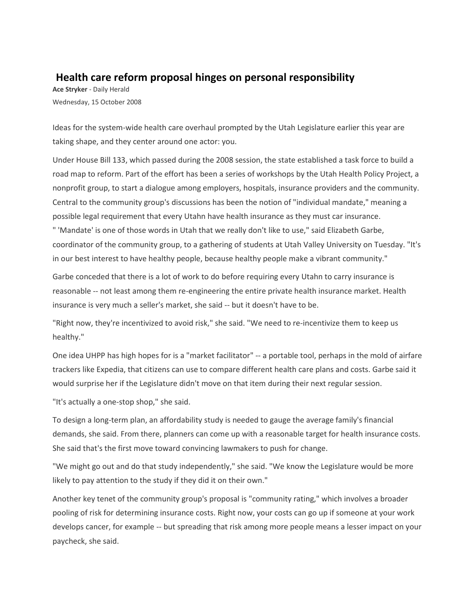## **Health care reform proposal hinges on personal responsibility**

**Ace Stryker** - Daily Herald Wednesday, 15 October 2008

Ideas for the system-wide health care overhaul prompted by the Utah Legislature earlier this year are taking shape, and they center around one actor: you.

Under House Bill 133, which passed during the 2008 session, the state established a task force to build a road map to reform. Part of the effort has been a series of workshops by the Utah Health Policy Project, a nonprofit group, to start a dialogue among employers, hospitals, insurance providers and the community. Central to the community group's discussions has been the notion of "individual mandate," meaning a possible legal requirement that every Utahn have health insurance as they must car insurance. " 'Mandate' is one of those words in Utah that we really don't like to use," said Elizabeth Garbe, coordinator of the community group, to a gathering of students at Utah Valley University on Tuesday. "It's in our best interest to have healthy people, because healthy people make a vibrant community."

Garbe conceded that there is a lot of work to do before requiring every Utahn to carry insurance is reasonable -- not least among them re-engineering the entire private health insurance market. Health insurance is very much a seller's market, she said -- but it doesn't have to be.

"Right now, they're incentivized to avoid risk," she said. "We need to re-incentivize them to keep us healthy."

One idea UHPP has high hopes for is a "market facilitator" -- a portable tool, perhaps in the mold of airfare trackers like Expedia, that citizens can use to compare different health care plans and costs. Garbe said it would surprise her if the Legislature didn't move on that item during their next regular session.

"It's actually a one-stop shop," she said.

To design a long-term plan, an affordability study is needed to gauge the average family's financial demands, she said. From there, planners can come up with a reasonable target for health insurance costs. She said that's the first move toward convincing lawmakers to push for change.

"We might go out and do that study independently," she said. "We know the Legislature would be more likely to pay attention to the study if they did it on their own."

Another key tenet of the community group's proposal is "community rating," which involves a broader pooling of risk for determining insurance costs. Right now, your costs can go up if someone at your work develops cancer, for example -- but spreading that risk among more people means a lesser impact on your paycheck, she said.